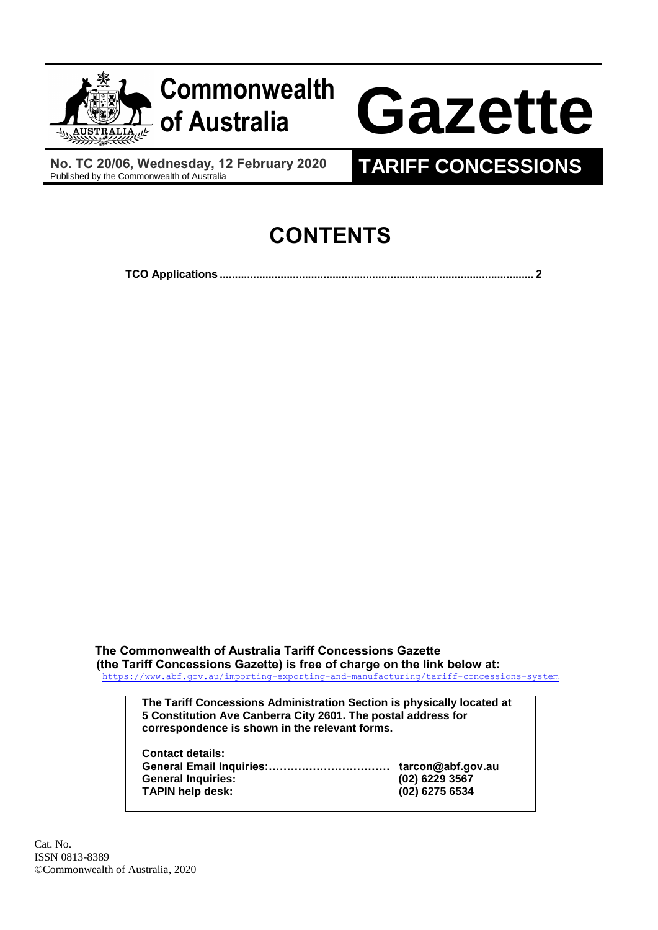

**No. TC 20/06, Wednesday, 12 February 2020**

## **TARIFF CONCESSIONS**

## **CONTENTS**

**TCO Applications [.......................................................................................................](#page-1-0) 2**

**The Commonwealth of Australia Tariff Concessions Gazette (the Tariff Concessions Gazette) is free of charge on the link below at:** <https://www.abf.gov.au/importing-exporting-and-manufacturing/tariff-concessions-system>

**The Tariff Concessions Administration Section is physically located at 5 Constitution Ave Canberra City 2601. The postal address for correspondence is shown in the relevant forms.**

| <b>Contact details:</b>   |                   |
|---------------------------|-------------------|
|                           | tarcon@abf.gov.au |
| <b>General Inquiries:</b> | (02) 6229 3567    |
| <b>TAPIN help desk:</b>   | (02) 6275 6534    |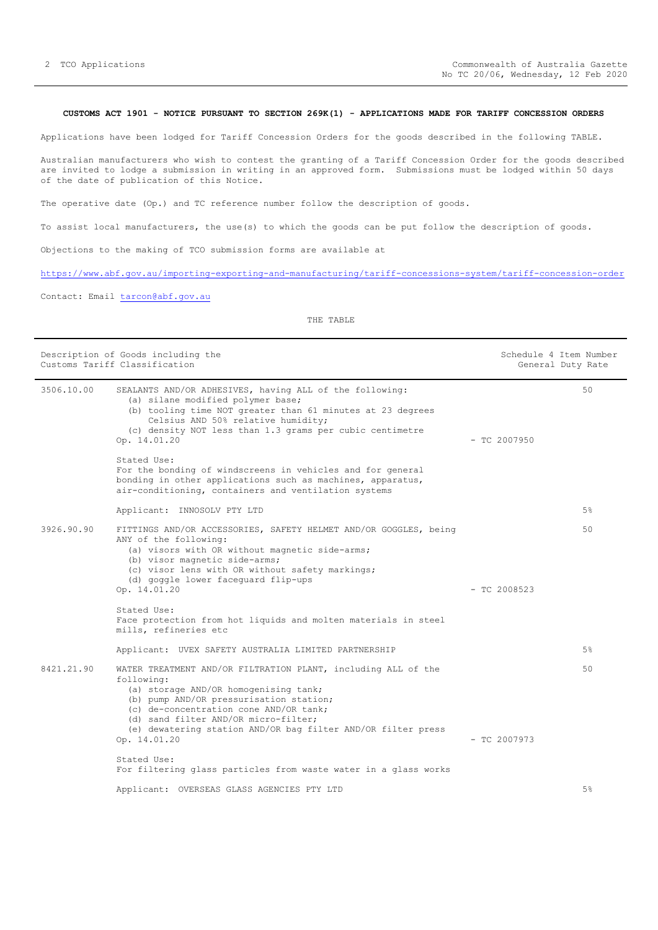## <span id="page-1-0"></span>**CUSTOMS ACT 1901 - NOTICE PURSUANT TO SECTION 269K(1) - APPLICATIONS MADE FOR TARIFF CONCESSION ORDERS**

Applications have been lodged for Tariff Concession Orders for the goods described in the following TABLE.

Australian manufacturers who wish to contest the granting of a Tariff Concession Order for the goods described are invited to lodge a submission in writing in an approved form. Submissions must be lodged within 50 days of the date of publication of this Notice.

The operative date (Op.) and TC reference number follow the description of goods.

To assist local manufacturers, the use(s) to which the goods can be put follow the description of goods.

Objections to the making of TCO submission forms are available at

<https://www.abf.gov.au/importing-exporting-and-manufacturing/tariff-concessions-system/tariff-concession-order>

Contact: Email [tarcon@abf.gov.au](mailto:tarcon@abf.gov.au)

THE TABLE

| Description of Goods including the<br>Customs Tariff Classification |                                                                                                                                                                                                                                                                                                                   |                | Schedule 4 Item Number<br>General Duty Rate |  |
|---------------------------------------------------------------------|-------------------------------------------------------------------------------------------------------------------------------------------------------------------------------------------------------------------------------------------------------------------------------------------------------------------|----------------|---------------------------------------------|--|
| 3506.10.00                                                          | SEALANTS AND/OR ADHESIVES, having ALL of the following:<br>(a) silane modified polymer base;<br>(b) tooling time NOT greater than 61 minutes at 23 degrees<br>Celsius AND 50% relative humidity;<br>(c) density NOT less than 1.3 grams per cubic centimetre<br>Op. 14.01.20                                      | $-$ TC 2007950 | 50                                          |  |
|                                                                     | Stated Use:<br>For the bonding of windscreens in vehicles and for general<br>bonding in other applications such as machines, apparatus,<br>air-conditioning, containers and ventilation systems                                                                                                                   |                |                                             |  |
|                                                                     | Applicant: INNOSOLV PTY LTD                                                                                                                                                                                                                                                                                       |                | $5\%$                                       |  |
| 3926.90.90                                                          | FITTINGS AND/OR ACCESSORIES, SAFETY HELMET AND/OR GOGGLES, being<br>ANY of the following:<br>(a) visors with OR without magnetic side-arms;<br>(b) visor magnetic side-arms;<br>(c) visor lens with OR without safety markings;<br>(d) goggle lower faceguard flip-ups<br>Op. 14.01.20                            | $-$ TC 2008523 | 50                                          |  |
|                                                                     | Stated Use:<br>Face protection from hot liquids and molten materials in steel<br>mills, refineries etc                                                                                                                                                                                                            |                |                                             |  |
|                                                                     | Applicant: UVEX SAFETY AUSTRALIA LIMITED PARTNERSHIP                                                                                                                                                                                                                                                              |                | 5%                                          |  |
| 8421.21.90                                                          | WATER TREATMENT AND/OR FILTRATION PLANT, including ALL of the<br>following:<br>(a) storage AND/OR homogenising tank;<br>(b) pump AND/OR pressurisation station;<br>(c) de-concentration cone AND/OR tank;<br>(d) sand filter AND/OR micro-filter;<br>(e) dewatering station AND/OR bag filter AND/OR filter press |                | 50                                          |  |
|                                                                     | Op. 14.01.20                                                                                                                                                                                                                                                                                                      | $-$ TC 2007973 |                                             |  |
|                                                                     | Stated Use:<br>For filtering glass particles from waste water in a glass works                                                                                                                                                                                                                                    |                |                                             |  |
|                                                                     | Applicant: OVERSEAS GLASS AGENCIES PTY LTD                                                                                                                                                                                                                                                                        |                | 5%                                          |  |